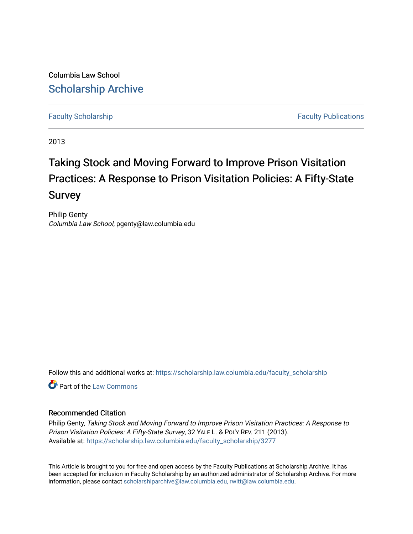Columbia Law School [Scholarship Archive](https://scholarship.law.columbia.edu/) 

[Faculty Scholarship](https://scholarship.law.columbia.edu/faculty_scholarship) **Faculty Scholarship Faculty Publications** 

2013

# Taking Stock and Moving Forward to Improve Prison Visitation Practices: A Response to Prison Visitation Policies: A Fifty-State Survey

Philip Genty Columbia Law School, pgenty@law.columbia.edu

Follow this and additional works at: [https://scholarship.law.columbia.edu/faculty\\_scholarship](https://scholarship.law.columbia.edu/faculty_scholarship?utm_source=scholarship.law.columbia.edu%2Ffaculty_scholarship%2F3277&utm_medium=PDF&utm_campaign=PDFCoverPages)

**C** Part of the [Law Commons](http://network.bepress.com/hgg/discipline/578?utm_source=scholarship.law.columbia.edu%2Ffaculty_scholarship%2F3277&utm_medium=PDF&utm_campaign=PDFCoverPages)

## Recommended Citation

Philip Genty, Taking Stock and Moving Forward to Improve Prison Visitation Practices: A Response to Prison Visitation Policies: A Fifty-State Survey, 32 YALE L. & POL'Y REV. 211 (2013). Available at: [https://scholarship.law.columbia.edu/faculty\\_scholarship/3277](https://scholarship.law.columbia.edu/faculty_scholarship/3277?utm_source=scholarship.law.columbia.edu%2Ffaculty_scholarship%2F3277&utm_medium=PDF&utm_campaign=PDFCoverPages)

This Article is brought to you for free and open access by the Faculty Publications at Scholarship Archive. It has been accepted for inclusion in Faculty Scholarship by an authorized administrator of Scholarship Archive. For more information, please contact [scholarshiparchive@law.columbia.edu, rwitt@law.columbia.edu](mailto:scholarshiparchive@law.columbia.edu,%20rwitt@law.columbia.edu).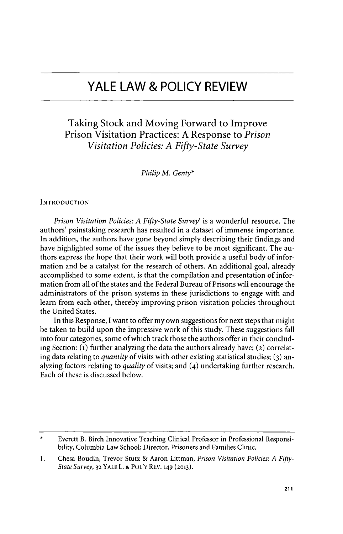## **YALE LAW & POLICY REVIEW**

## Taking Stock and Moving Forward to Improve Prison Visitation Practices: **A** Response to *Prison Visitation Policies: A Fifty-State Survey*

*Philip M. Genty\**

**INTRODUCTION**

*Prison Visitation Policies: A Fifty-State Survey'* is a wonderful resource. The authors' painstaking research has resulted in a dataset of immense importance. In addition, the authors have gone beyond simply describing their findings and have highlighted some of the issues they believe to be most significant. The authors express the hope that their work will both provide a useful body of information and be a catalyst for the research of others. An additional goal, already accomplished to some extent, is that the compilation and presentation of information from all of the states and the Federal Bureau of Prisons will encourage the administrators of the prison systems in these jurisdictions to engage with and learn from each other, thereby improving prison visitation policies throughout the United States.

In this Response, **I** want to offer my own suggestions for next steps that might be taken to build upon the impressive work of this study. These suggestions fall into four categories, some of which track those the authors offer in their concluding Section: **(1)** further analyzing the data the authors already have; **(2)** correlating data relating to *quantity* of visits with other existing statistical studies; **(3)** analyzing factors relating to *quality* of visits; and (4) undertaking further research. Each of these is discussed below.

Everett B. Birch Innovative Teaching Clinical Professor in Professional Responsibility, Columbia Law School; Director, Prisoners and Families Clinic.

**<sup>1.</sup>** Chesa Boudin, Trevor Stutz **&** Aaron Littman, *Prison Visitation Policies: A Fifty-State Survey,* **32 YALE** L. **&** POL'Y REV. **149 (2013).**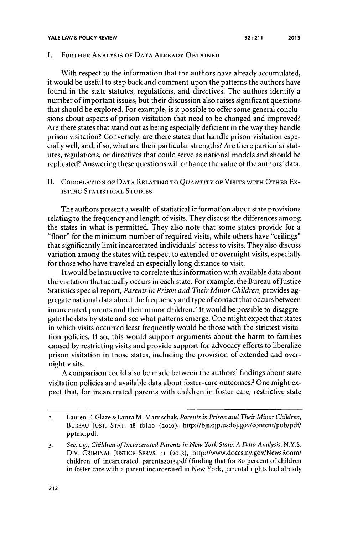#### **YALE LAW & POLICY REVIEW**

#### **1.** FURTHER ANALYSIS OF **DATA** ALREADY **OBTAINED**

With respect to the information that the authors have already accumulated, it would be useful to step back and comment upon the patterns the authors have found in the state statutes, regulations, and directives. The authors identify a number of important issues, but their discussion also raises significant questions that should be explored. For example, is it possible to offer some general conclusions about aspects of prison visitation that need to be changed and improved? Are there states that stand out as being especially deficient in the way they handle prison visitation? Conversely, are there states that handle prison visitation especially well, and, if so, what are their particular strengths? Are there particular statutes, regulations, or directives that could serve as national models and should be replicated? Answering these questions will enhance the value of the authors' data.

**11.** CORRELATION OF **DATA RELATING** TO *QUANTITY* OF **VISITS** WITH OTHER Ex-ISTING **STATISTICAL** STUDIES

The authors present a wealth of statistical information about state provisions relating to the frequency and length of visits. They discuss the differences among the states in what is permitted. They also note that some states provide for a "floor" for the minimum number of required visits, while others have "ceilings" that significantly limit incarcerated individuals' access to visits. They also discuss variation among the states with respect to extended or overnight visits, especially for those who have traveled an especially long distance to visit.

It would be instructive to correlate this information with available data about the visitation that actually occurs in each state. For example, the Bureau of Justice Statistics special report, *Parents in Prison and Their Minor Children,* provides aggregate national data about the frequency and type of contact that occurs between incarcerated parents and their minor children.<sup>2</sup> It would be possible to disaggregate the data **by** state and see what patterns emerge. One might expect that states in which visits occurred least frequently would be those with the strictest visitation policies. **If** so, this would support arguments about the harm to families caused **by** restricting visits and provide support for advocacy efforts to liberalize prison visitation in those states, including the provision of extended and overnight visits.

**A** comparison could also be made between the authors' findings about state visitation policies and available data about foster-care outcomes.<sup>3</sup> One might expect that, for incarcerated parents with children in foster care, restrictive state

**<sup>2.</sup>** Lauren **E.** Glaze *&* Laura M. Maruschak, *Parents in Prison and Their Minor Children,* **BUREAU JUST. STAT.** 18 tbl.io **(2010),** http://bjs.ojp.usdoj.gov/content/pub/pdf/ pptmc.pdf.

*<sup>3.</sup> See, e.g., Children of Incarcerated Parents in New York State: A Data Analysis, N.Y.S.* Div. CRIMINAL **JUSTICE** SERVS. **11 (2013),** http://www.doccs.ny.gov/NewsRoom/ children\_of\_incarcerated\_parents2013.pdf (finding that for 80 percent of children in foster care with a parent incarcerated in New York, parental rights had already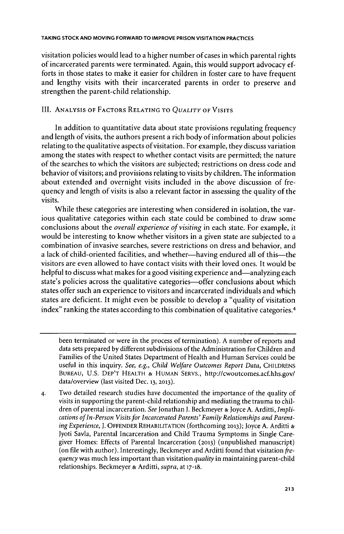visitation policies would lead to a higher number of cases in which parental rights of incarcerated parents were terminated. Again, this would support advocacy efforts in those states to make it easier for children in foster care to have frequent and lengthy visits with their incarcerated parents in order to preserve and strengthen the parent-child relationship.

### III. ANALYSIS OF FACTORS **RELATING** TO *QUALITY* OF VIsITs

In addition to quantitative data about state provisions regulating frequency and length of visits, the authors present a rich body of information about policies relating to the qualitative aspects of visitation. For example, they discuss variation among the states with respect to whether contact visits are permitted; the nature of the searches to which the visitors are subjected; restrictions on dress code and behavior of visitors; and provisions relating to visits **by** children. The information about extended and overnight visits included in the above discussion of frequency and length of visits is also a relevant factor in assessing the quality of the visits.

While these categories are interesting when considered in isolation, the various qualitative categories within each state could be combined to draw some conclusions about the *overall experience of visiting* in each state. For example, it would be interesting to know whether visitors in a given state are subjected to a combination of invasive searches, severe restrictions on dress and behavior, and a lack of child-oriented facilities, and whether-having endured all of this-the visitors are even allowed to have contact visits with their loved ones. It would **be** helpful to discuss what makes for a good visiting experience and—analyzing each state's policies across the qualitative categories—offer conclusions about which states offer such an experience to visitors and incarcerated individuals and which states are deficient. It might even be possible to develop a "quality of visitation index" ranking the states according to this combination of qualitative categories.<sup>4</sup>

been terminated or were in the process of termination). **A** number of reports and data sets prepared **by** different subdivisions of the Administration for Children and Families of the United States Department of Health and Human Services could be useful in this inquiry. *See, e.g., Child Welfare Outcomes Report Data,* **CHILDRENS BUREAU, U.S.** DEP'T HEALTH **& HUMAN** SERVS., http://cwoutcomes.acf.hhs.gov/ data/overview (last visited Dec. **13, 2013).**

**<sup>4.</sup>** Two detailed research studies have documented the importance of the quality of visits in supporting the parent-child relationship and mediating the trauma to children of parental incarceration. *See* Jonathan **J.** Beckmeyer *&* Joyce **A.** Arditti, *Impli*cations of In-Person Visits for Incarcerated Parents' Family Relationships and Parent*ing Experience, J.* **OFFENDER** REHABILITATION (forthcoming **2013);** Joyce **A.** Arditti *&* Jyoti Savla, Parental Incarceration and Child Trauma Symptoms in Single Caregiver Homes: Effects of Parental Incarceration **(2013)** (unpublished manuscript) (on file with author). Interestingly, Beckmeyer and Arditti found that visitation *frequency* was much less important than visitation *quality* in maintaining parent-child relationships. Beckmeyer *&* Arditti, *supra,* at 17-18.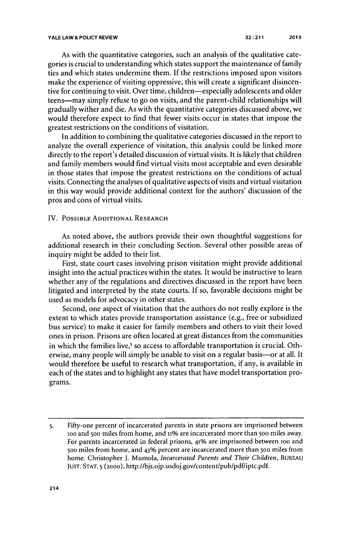As with the quantitative categories, such an analysis of the qualitative categories is crucial to understanding which states support the maintenance of family ties and which states undermine them. **If** the restrictions imposed upon visitors make the experience of visiting oppressive, this will create a significant disincentive for continuing to visit. Over time, children—especially adolescents and older teens-may simply refuse to go on visits, and the parent-child relationships will gradually wither and die. As with the quantitative categories discussed above, we would therefore expect to find that fewer visits occur in states that impose the greatest restrictions on the conditions of visitation.

In addition to combining the qualitative categories discussed in the report to analyze the overall experience of visitation, this analysis could be linked more directly to the report's detailed discussion of virtual visits. It is likely that children and family members would find virtual visits most acceptable and even desirable in those states that impose the greatest restrictions on the conditions of actual visits. Connecting the analyses of qualitative aspects of visits and virtual visitation in this way would provide additional context for the authors' discussion of the pros and cons of virtual visits.

#### IV. **POSSIBLE ADDITIONAL RESEARCH**

As noted above, the authors provide their own thoughtful suggestions for additional research in their concluding Section. Several other possible areas of inquiry might be added to their list.

First, state court cases involving prison visitation might provide additional insight into the actual practices within the states. It would be instructive to learn whether any of the regulations and directives discussed in the report have been litigated and interpreted **by** the state courts. **If** so, favorable decisions might be used as models for advocacy in other states.

Second, one aspect of visitation that the authors do not really explore is the extent to which states provide transportation assistance (e.g., free or subsidized bus service) to make it easier for family members and others to visit their loved ones in prison. Prisons are often located at great distances from the communities in which the families live,<sup>5</sup> so access to affordable transportation is crucial. Otherwise, many people will simply be unable to visit on a regular basis-or at all. It would therefore be useful to research what transportation, if any, is available in each of the states and to highlight any states that have model transportation programs.

**<sup>5.</sup>** Fifty-one percent of incarcerated parents in state prisons are imprisoned between ioo and **500** miles from home, and **n1%** are incarcerated more than **500** miles away. For parents incarcerated in federal prisons, **41%** are imprisoned between ioo and **500** miles from home, and **43%** percent are incarcerated more than **500** miles from home. Christopher **J.** *Mumola, Incarcerated Parents and Their Children,* **BUREAU JUST. STAT. 5 (2000),** http://bjs.ojp.usdoj.gov/content/pub/pdf/iptc.pdf.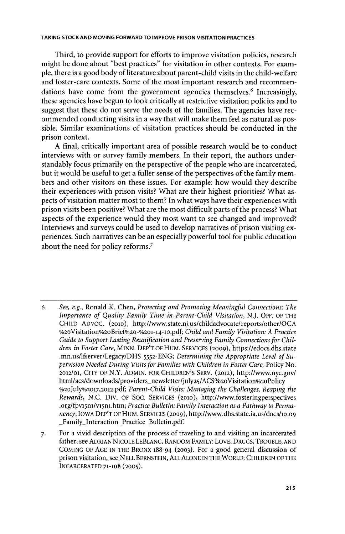Third, to provide support for efforts to improve visitation policies, research might be done about "best practices" for visitation in other contexts. For example, there is a good body of literature about parent-child visits in the child-welfare and foster-care contexts. Some of the most important research and recommendations have come from the government agencies themselves.<sup>6</sup> Increasingly, these agencies have begun to look critically at restrictive visitation policies and to suggest that these do not serve the needs of the families. The agencies have recommended conducting visits in a way that will make them feel as natural as possible. Similar examinations of visitation practices should be conducted in the prison context.

**A** final, critically important area of possible research would be to conduct interviews with or survey family members. In their report, the authors understandably focus primarily on the perspective of the people who are incarcerated, but it would be useful to get a fuller sense of the perspectives of the family members and other visitors on these issues. For example: how would they describe their experiences with prison visits? What are their highest priorities? What aspects of visitation matter most to them? In what ways have their experiences with prison visits been positive? What are the most difficult parts of the process? What aspects of the experience would they most want to see changed and improved? Interviews and surveys could be used to develop narratives of prison visiting experiences. Such narratives can be an especially powerful tool for public education about the need for policy reforms.'

- *6. See, e.g.,* Ronald K. Chen, *Protecting and Promoting Meaningful Connections: The Importance of Quality Family Time in Parent-Child Visitation,* **N.J.** OFF. OF THE **CHILD ADVOC. (2010),** http://www.state.nj.us/childadvocate/reports/other/OCA %2oVisitation%2oBrief%20-%201-14-1o.pdf; *Child and Family Visitation: A Practice Guide to Support Lasting Reunification and Preserving Family Connections for Children in Foster Care,* **MINN.** DEP'T OF HUM. SERVICES **(2009),** https://edocs.dhs.state *.mn.us/1fserver/Legacy/DHS-5552-ENG; Determining the Appropriate Level of Supervision Needed During Visits for Families with Children in Foster Care,* Policy No. **2012/01,** CITY OF N.Y. **ADMIN.** FOR **CHILDREN'S** SERV. **(2012),** http://www.nyc.gov/ html/acs/downloads/providers newsletter/july25/ACS%2oVisitation%2oPolicy **%2oJuIy%2017 ,2012.pdf;** *Parent-Child Visits: Managing the Challenges, Reaping the Rewards,* **N.C.** DIV. OF **Soc. SERVICES (2010), http://www.fosteringperspectives** .org/fpv15n1/v15n1.htm; *Practice Bulletin: Family Interaction as a Pathway to Permanency,* IOWA DEP'T OF HUM. SERVICES **(2009),** *http://www.dhs.state.ia.us/docs/lo.09* \_Family\_Interaction\_Practice\_Bulletin.pdf.
- *7.* For a vivid description of the process of traveling to and visiting an incarcerated father, see **ADRIAN NICOLE** LEBLANC, RANDOM FAMILY: LOVE, DRUGS, TROUBLE, **AND COMING** OF **AGE** IN THE BRONX **188-94 (2003).** For a good general discussion of prison visitation, see **NELL BERNSTEIN, ALL ALONE IN** THE WORLD: CHILDREN OF THE INCARCERATED **71-1o8 (2005).**